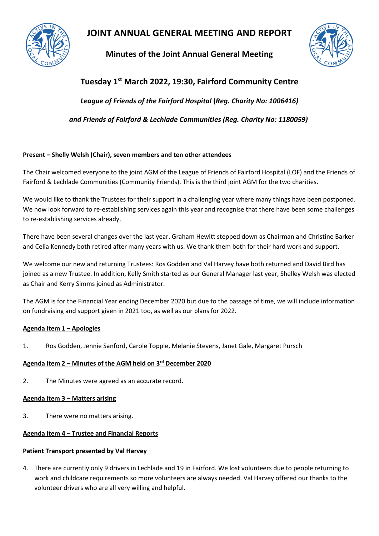

# **JOINT ANNUAL GENERAL MEETING AND REPORT**

**Minutes of the Joint Annual General Meeting** 



# **Tuesday 1st March 2022, 19:30, Fairford Community Centre** *League of Friends of the Fairford Hospital* **(***Reg. Charity No: 1006416) and Friends of Fairford & Lechlade Communities (Reg. Charity No: 1180059)*

# **Prese Present – Shelly Welsh (Chair), seven members and ten other attendees**

The Chair welcomed everyone to the joint AGM of the League of Friends of Fairford Hospital (LOF) and the Friends of Fairford & Lechlade Communities (Community Friends). This is the third joint AGM for the two charities.

We would like to thank the Trustees for their support in a challenging year where many things have been postponed. We now look forward to re-establishing services again this year and recognise that there have been some challenges to re-establishing services already.

There have been several changes over the last year. Graham Hewitt stepped down as Chairman and Christine Barker and Celia Kennedy both retired after many years with us. We thank them both for their hard work and support.

We welcome our new and returning Trustees: Ros Godden and Val Harvey have both returned and David Bird has joined as a new Trustee. In addition, Kelly Smith started as our General Manager last year, Shelley Welsh was elected as Chair and Kerry Simms joined as Administrator.

The AGM is for the Financial Year ending December 2020 but due to the passage of time, we will include information on fundraising and support given in 2021 too, as well as our plans for 2022.

# **Agenda Item 1 – Apologies**

1. Ros Godden, Jennie Sanford, Carole Topple, Melanie Stevens, Janet Gale, Margaret Pursch

# **Agenda Item 2 – Minutes of the AGM held on 3 rd December 2020**

2. The Minutes were agreed as an accurate record.

# **Agenda Item 3 – Matters arising**

3. There were no matters arising.

# **Agenda Item 4 – Trustee and Financial Reports**

# **Patient Transport presented by Val Harvey**

4. There are currently only 9 drivers in Lechlade and 19 in Fairford. We lost volunteers due to people returning to work and childcare requirements so more volunteers are always needed. Val Harvey offered our thanks to the volunteer drivers who are all very willing and helpful.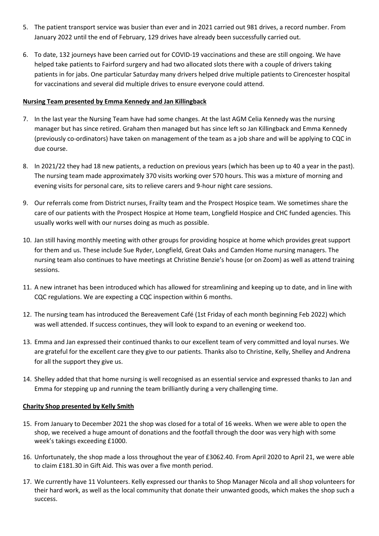- 5. The patient transport service was busier than ever and in 2021 carried out 981 drives, a record number. From January 2022 until the end of February, 129 drives have already been successfully carried out.
- 6. To date, 132 journeys have been carried out for COVID-19 vaccinations and these are still ongoing. We have helped take patients to Fairford surgery and had two allocated slots there with a couple of drivers taking patients in for jabs. One particular Saturday many drivers helped drive multiple patients to Cirencester hospital for vaccinations and several did multiple drives to ensure everyone could attend.

#### **Nursing Team presented by Emma Kennedy and Jan Killingback**

- 7. In the last year the Nursing Team have had some changes. At the last AGM Celia Kennedy was the nursing manager but has since retired. Graham then managed but has since left so Jan Killingback and Emma Kennedy (previously co-ordinators) have taken on management of the team as a job share and will be applying to CQC in due course.
- 8. In 2021/22 they had 18 new patients, a reduction on previous years (which has been up to 40 a year in the past). The nursing team made approximately 370 visits working over 570 hours. This was a mixture of morning and evening visits for personal care, sits to relieve carers and 9-hour night care sessions.
- 9. Our referrals come from District nurses, Frailty team and the Prospect Hospice team. We sometimes share the care of our patients with the Prospect Hospice at Home team, Longfield Hospice and CHC funded agencies. This usually works well with our nurses doing as much as possible.
- 10. Jan still having monthly meeting with other groups for providing hospice at home which provides great support for them and us. These include Sue Ryder, Longfield, Great Oaks and Camden Home nursing managers. The nursing team also continues to have meetings at Christine Benzie's house (or on Zoom) as well as attend training sessions.
- 11. A new intranet has been introduced which has allowed for streamlining and keeping up to date, and in line with CQC regulations. We are expecting a CQC inspection within 6 months.
- 12. The nursing team has introduced the Bereavement Café (1st Friday of each month beginning Feb 2022) which was well attended. If success continues, they will look to expand to an evening or weekend too.
- 13. Emma and Jan expressed their continued thanks to our excellent team of very committed and loyal nurses. We are grateful for the excellent care they give to our patients. Thanks also to Christine, Kelly, Shelley and Andrena for all the support they give us.
- 14. Shelley added that that home nursing is well recognised as an essential service and expressed thanks to Jan and Emma for stepping up and running the team brilliantly during a very challenging time.

# **Charity Shop presented by Kelly Smith**

- 15. From January to December 2021 the shop was closed for a total of 16 weeks. When we were able to open the shop, we received a huge amount of donations and the footfall through the door was very high with some week's takings exceeding £1000.
- 16. Unfortunately, the shop made a loss throughout the year of £3062.40. From April 2020 to April 21, we were able to claim £181.30 in Gift Aid. This was over a five month period.
- 17. We currently have 11 Volunteers. Kelly expressed our thanks to Shop Manager Nicola and all shop volunteers for their hard work, as well as the local community that donate their unwanted goods, which makes the shop such a success.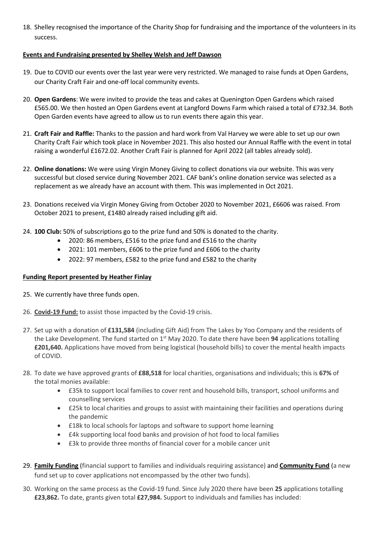18. Shelley recognised the importance of the Charity Shop for fundraising and the importance of the volunteers in its success.

# **Events and Fundraising presented by Shelley Welsh and Jeff Dawson**

- 19. Due to COVID our events over the last year were very restricted. We managed to raise funds at Open Gardens, our Charity Craft Fair and one-off local community events.
- 20. **Open Gardens**: We were invited to provide the teas and cakes at Quenington Open Gardens which raised £565.00. We then hosted an Open Gardens event at Langford Downs Farm which raised a total of £732.34. Both Open Garden events have agreed to allow us to run events there again this year.
- 21. **Craft Fair and Raffle:** Thanks to the passion and hard work from Val Harvey we were able to set up our own Charity Craft Fair which took place in November 2021. This also hosted our Annual Raffle with the event in total raising a wonderful £1672.02. Another Craft Fair is planned for April 2022 (all tables already sold).
- 22. **Online donations:** We were using Virgin Money Giving to collect donations via our website. This was very successful but closed service during November 2021. CAF bank's online donation service was selected as a replacement as we already have an account with them. This was implemented in Oct 2021.
- 23. Donations received via Virgin Money Giving from October 2020 to November 2021, £6606 was raised. From October 2021 to present, £1480 already raised including gift aid.
- 24. **100 Club:** 50% of subscriptions go to the prize fund and 50% is donated to the charity.
	- 2020: 86 members, £516 to the prize fund and £516 to the charity
	- 2021: 101 members, £606 to the prize fund and £606 to the charity
	- 2022: 97 members, £582 to the prize fund and £582 to the charity

# **Funding Report presented by Heather Finlay**

- 25. We currently have three funds open.
- 26. **Covid-19 Fund:** to assist those impacted by the Covid-19 crisis.
- 27. Set up with a donation of **£131,584** (including Gift Aid) from The Lakes by Yoo Company and the residents of the Lake Development. The fund started on 1<sup>st</sup> May 2020. To date there have been 94 applications totalling **£201,640.** Applications have moved from being logistical (household bills) to cover the mental health impacts of COVID.
- 28. To date we have approved grants of **£88,518** for local charities, organisations and individuals; this is **67%** of the total monies available:
	- £35k to support local families to cover rent and household bills, transport, school uniforms and counselling services
	- £25k to local charities and groups to assist with maintaining their facilities and operations during the pandemic
	- **£18k to local schools for laptops and software to support home learning**
	- £4k supporting local food banks and provision of hot food to local families
	- £3k to provide three months of financial cover for a mobile cancer unit
- 29. **Family Funding** (financial support to families and individuals requiring assistance) and **Community Fund** (a new fund set up to cover applications not encompassed by the other two funds).
- 30. Working on the same process as the Covid-19 fund. Since July 2020 there have been **25** applications totalling **£23,862.** To date, grants given total **£27,984.** Support to individuals and families has included: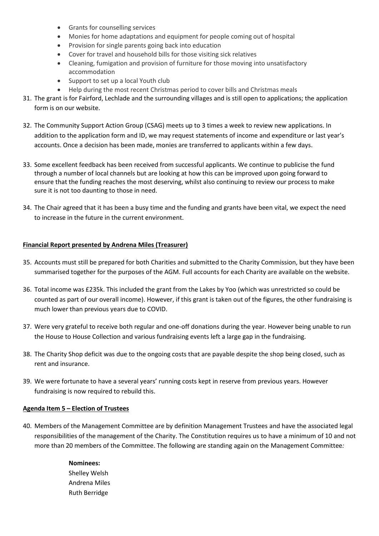- Grants for counselling services
- Monies for home adaptations and equipment for people coming out of hospital
- Provision for single parents going back into education
- Cover for travel and household bills for those visiting sick relatives
- Cleaning, fumigation and provision of furniture for those moving into unsatisfactory accommodation
- Support to set up a local Youth club
- Help during the most recent Christmas period to cover bills and Christmas meals
- 31. The grant is for Fairford, Lechlade and the surrounding villages and is still open to applications; the application form is on our website.
- 32. The Community Support Action Group (CSAG) meets up to 3 times a week to review new applications. In addition to the application form and ID, we may request statements of income and expenditure or last year's accounts. Once a decision has been made, monies are transferred to applicants within a few days.
- 33. Some excellent feedback has been received from successful applicants. We continue to publicise the fund through a number of local channels but are looking at how this can be improved upon going forward to ensure that the funding reaches the most deserving, whilst also continuing to review our process to make sure it is not too daunting to those in need.
- 34. The Chair agreed that it has been a busy time and the funding and grants have been vital, we expect the need to increase in the future in the current environment.

# **Financial Report presented by Andrena Miles (Treasurer)**

- 35. Accounts must still be prepared for both Charities and submitted to the Charity Commission, but they have been summarised together for the purposes of the AGM. Full accounts for each Charity are available on the website.
- 36. Total income was £235k. This included the grant from the Lakes by Yoo (which was unrestricted so could be counted as part of our overall income). However, if this grant is taken out of the figures, the other fundraising is much lower than previous years due to COVID.
- 37. Were very grateful to receive both regular and one-off donations during the year. However being unable to run the House to House Collection and various fundraising events left a large gap in the fundraising.
- 38. The Charity Shop deficit was due to the ongoing costs that are payable despite the shop being closed, such as rent and insurance.
- 39. We were fortunate to have a several years' running costs kept in reserve from previous years. However fundraising is now required to rebuild this.

# **Agenda Item 5 – Election of Trustees**

40. Members of the Management Committee are by definition Management Trustees and have the associated legal responsibilities of the management of the Charity. The Constitution requires us to have a minimum of 10 and not more than 20 members of the Committee. The following are standing again on the Management Committee*:*

# **Nominees:**  Shelley Welsh

Andrena Miles Ruth Berridge